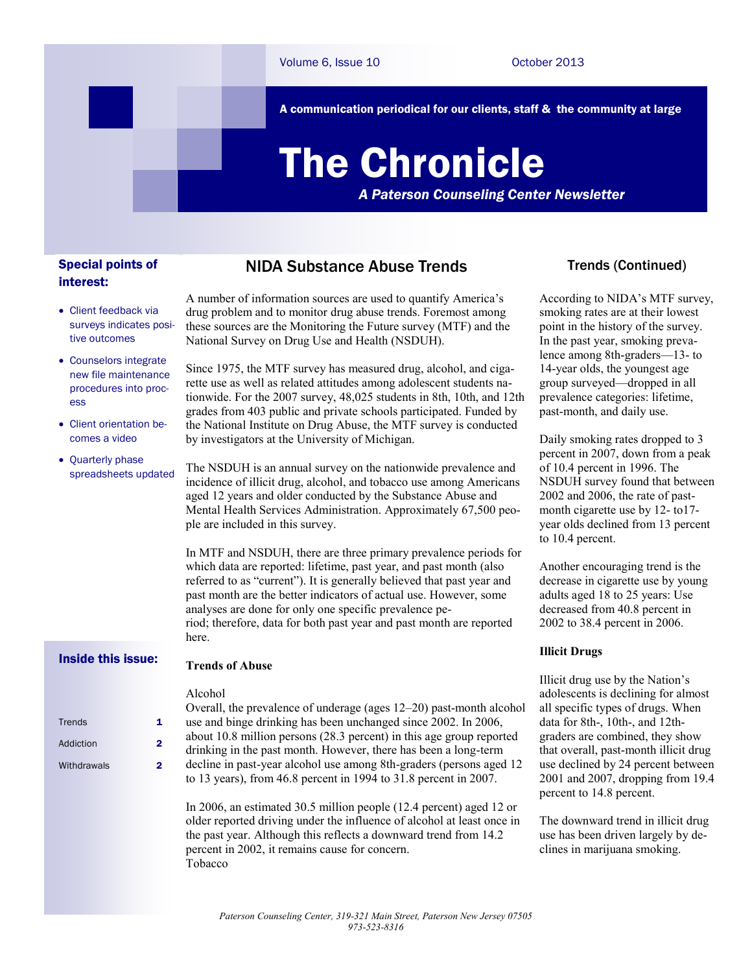A communication periodical for our clients, staff & the community at large

# The Chronicle

*A Paterson Counseling Center Newsletter*

# Special points of interest:

- Client feedback via surveys indicates positive outcomes
- Counselors integrate new file maintenance procedures into process
- Client orientation becomes a video
- Quarterly phase spreadsheets updated

# NIDA Substance Abuse Trends

A number of information sources are used to quantify America's drug problem and to monitor drug abuse trends. Foremost among these sources are the Monitoring the Future survey (MTF) and the National Survey on Drug Use and Health (NSDUH).

Since 1975, the MTF survey has measured drug, alcohol, and cigarette use as well as related attitudes among adolescent students nationwide. For the 2007 survey, 48,025 students in 8th, 10th, and 12th grades from 403 public and private schools participated. Funded by the National Institute on Drug Abuse, the MTF survey is conducted by investigators at the University of Michigan.

The NSDUH is an annual survey on the nationwide prevalence and incidence of illicit drug, alcohol, and tobacco use among Americans aged 12 years and older conducted by the Substance Abuse and Mental Health Services Administration. Approximately 67,500 people are included in this survey.

In MTF and NSDUH, there are three primary prevalence periods for which data are reported: lifetime, past year, and past month (also referred to as "current"). It is generally believed that past year and past month are the better indicators of actual use. However, some analyses are done for only one specific prevalence period; therefore, data for both past year and past month are reported here.

# Inside this issue:

| <b>Trends</b> |   |
|---------------|---|
| Addiction     | 2 |
| Withdrawals   | 2 |

# **Trends of Abuse**

### Alcohol

Overall, the prevalence of underage (ages 12–20) past-month alcohol use and binge drinking has been unchanged since 2002. In 2006, about 10.8 million persons (28.3 percent) in this age group reported drinking in the past month. However, there has been a long-term decline in past-year alcohol use among 8th-graders (persons aged 12 to 13 years), from 46.8 percent in 1994 to 31.8 percent in 2007.

In 2006, an estimated 30.5 million people (12.4 percent) aged 12 or older reported driving under the influence of alcohol at least once in the past year. Although this reflects a downward trend from 14.2 percent in 2002, it remains cause for concern. Tobacco

# Trends (Continued)

According to NIDA's MTF survey, smoking rates are at their lowest point in the history of the survey. In the past year, smoking prevalence among 8th-graders—13- to 14-year olds, the youngest age group surveyed—dropped in all prevalence categories: lifetime, past-month, and daily use.

Daily smoking rates dropped to 3 percent in 2007, down from a peak of 10.4 percent in 1996. The NSDUH survey found that between 2002 and 2006, the rate of pastmonth cigarette use by 12- to17 year olds declined from 13 percent to 10.4 percent.

Another encouraging trend is the decrease in cigarette use by young adults aged 18 to 25 years: Use decreased from 40.8 percent in 2002 to 38.4 percent in 2006.

# **Illicit Drugs**

Illicit drug use by the Nation's adolescents is declining for almost all specific types of drugs. When data for 8th-, 10th-, and 12thgraders are combined, they show that overall, past-month illicit drug use declined by 24 percent between 2001 and 2007, dropping from 19.4 percent to 14.8 percent.

The downward trend in illicit drug use has been driven largely by declines in marijuana smoking.